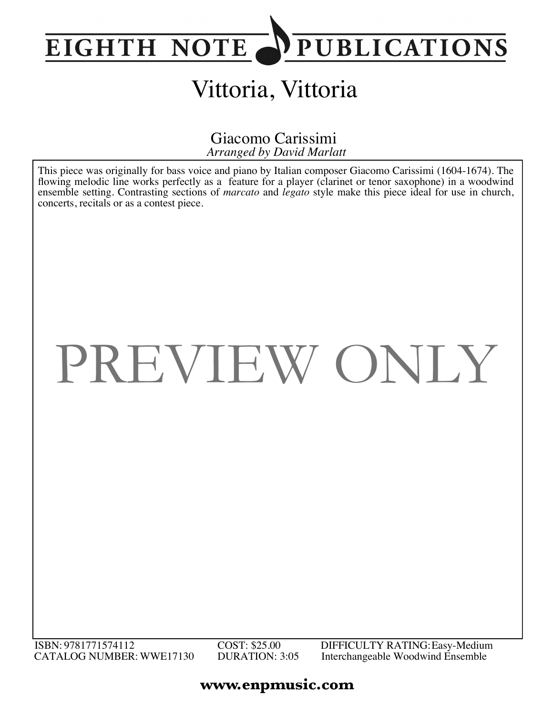### PUBLICATIONS EIGHTH NOTE

## Vittoria, Vittoria

*Arranged by David Marlatt* Giacomo Carissimi

This piece was originally for bass voice and piano by Italian composer Giacomo Carissimi (1604-1674). The flowing melodic line works perfectly as a feature for a player (clarinet or tenor saxophone) in a woodwind ensemble setting. Contrasting sections of *marcato* and *legato* style make this piece ideal for use in church, concerts, recitals or as a contest piece.

# PREVIEW ONLY

### **www.enpmusic.com**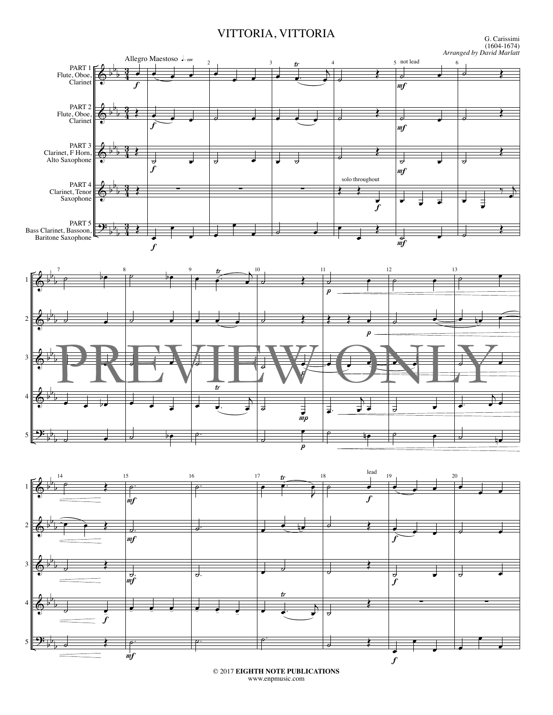#### VITTORIA, VITTORIA



© 2017 **EIGHTH NOTE PUBLICATIONS** www.enpmusic.com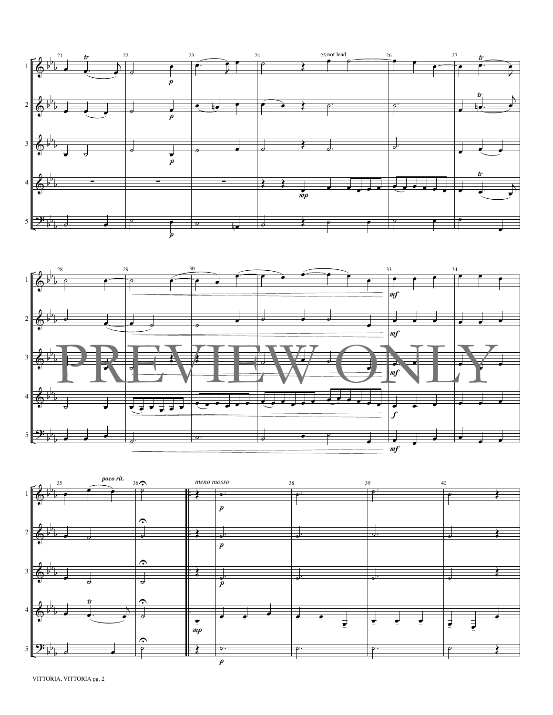





VITTORIA, VITTORIA pg. 2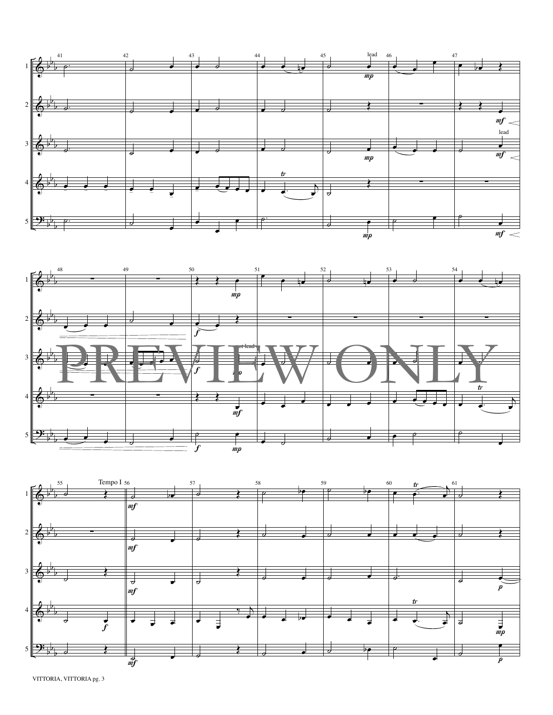





VITTORIA, VITTORIA pg. 3